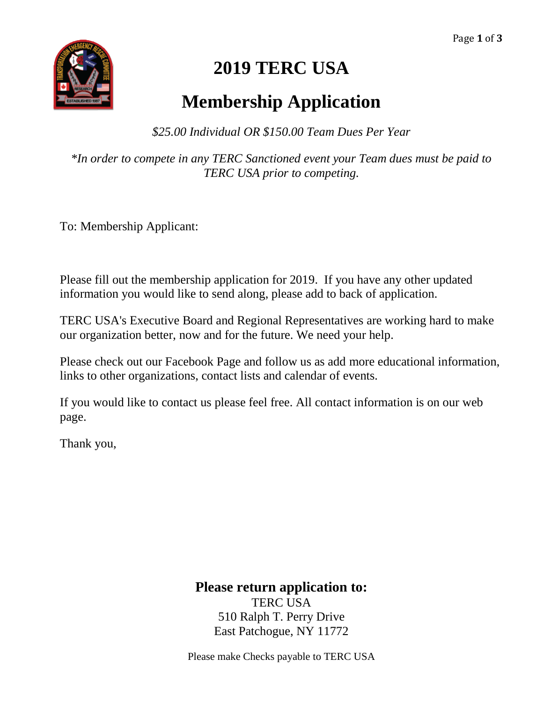Page **1** of **3**



## **2019 TERC USA**

## **Membership Application**

*\$25.00 Individual OR \$150.00 Team Dues Per Year* 

*\*In order to compete in any TERC Sanctioned event your Team dues must be paid to TERC USA prior to competing.*

To: Membership Applicant:

Please fill out the membership application for 2019. If you have any other updated information you would like to send along, please add to back of application.

TERC USA's Executive Board and Regional Representatives are working hard to make our organization better, now and for the future. We need your help.

Please check out our Facebook Page and follow us as add more educational information, links to other organizations, contact lists and calendar of events.

If you would like to contact us please feel free. All contact information is on our web page.

Thank you,

## **Please return application to:**

TERC USA 510 Ralph T. Perry Drive East Patchogue, NY 11772

Please make Checks payable to TERC USA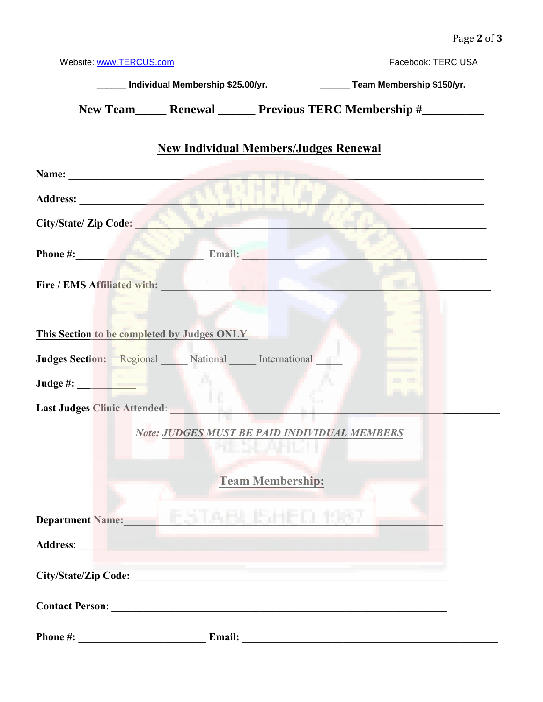| Website: www.TERCUS.com                                                                              |                     | Facebook: TERC USA                                                                                                                                                                                                             |
|------------------------------------------------------------------------------------------------------|---------------------|--------------------------------------------------------------------------------------------------------------------------------------------------------------------------------------------------------------------------------|
|                                                                                                      |                     | _____ Individual Membership \$25.00/yr. _______________________Team Membership \$150/yr.                                                                                                                                       |
|                                                                                                      |                     | New Team_______ Renewal _________ Previous TERC Membership #______________                                                                                                                                                     |
|                                                                                                      |                     | <b>New Individual Members/Judges Renewal</b>                                                                                                                                                                                   |
|                                                                                                      |                     |                                                                                                                                                                                                                                |
|                                                                                                      |                     |                                                                                                                                                                                                                                |
| City/State/ Zip Code:                                                                                | di provincia a l'an |                                                                                                                                                                                                                                |
| Phone #: Email: Email:                                                                               |                     |                                                                                                                                                                                                                                |
| <b>Fire / EMS Affiliated with:</b>                                                                   |                     |                                                                                                                                                                                                                                |
|                                                                                                      |                     |                                                                                                                                                                                                                                |
| This Section to be completed by Judges ONLY                                                          |                     |                                                                                                                                                                                                                                |
| Judges Section: Regional National International                                                      |                     |                                                                                                                                                                                                                                |
|                                                                                                      |                     |                                                                                                                                                                                                                                |
| Last Judges Clinic Attended:                                                                         |                     |                                                                                                                                                                                                                                |
|                                                                                                      |                     | Note: JUDGES MUST BE PAID INDIVIDUAL MEMBERS                                                                                                                                                                                   |
|                                                                                                      |                     |                                                                                                                                                                                                                                |
|                                                                                                      |                     | <b>Team Membership:</b>                                                                                                                                                                                                        |
|                                                                                                      |                     |                                                                                                                                                                                                                                |
| <b>Department Name:</b>                                                                              | FATABLE ISHE        |                                                                                                                                                                                                                                |
| Address: Address: Address: Address: Address: Address: Address: Address: Address: Address: Address: A |                     |                                                                                                                                                                                                                                |
| City/State/Zip Code:                                                                                 |                     |                                                                                                                                                                                                                                |
|                                                                                                      |                     |                                                                                                                                                                                                                                |
|                                                                                                      |                     | Email: Email: Email: Email: Email: Email: Email: Email: Email: Email: Email: Email: Email: Email: Email: Email: Email: Email: Email: Email: Email: Email: Email: Email: Email: Email: Email: Email: Email: Email: Email: Email |